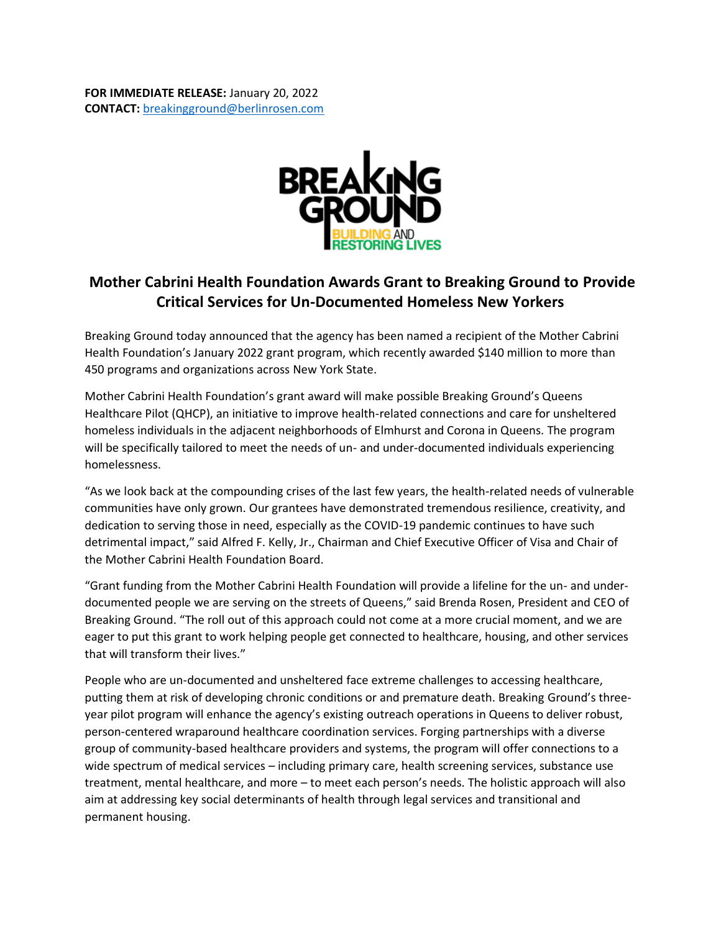

## **Mother Cabrini Health Foundation Awards Grant to Breaking Ground to Provide Critical Services for Un-Documented Homeless New Yorkers**

Breaking Ground today announced that the agency has been named a recipient of the Mother Cabrini Health Foundation's January 2022 grant program, which recently awarded \$140 million to more than 450 programs and organizations across New York State.

Mother Cabrini Health Foundation's grant award will make possible Breaking Ground's Queens Healthcare Pilot (QHCP), an initiative to improve health-related connections and care for unsheltered homeless individuals in the adjacent neighborhoods of Elmhurst and Corona in Queens. The program will be specifically tailored to meet the needs of un- and under-documented individuals experiencing homelessness.

"As we look back at the compounding crises of the last few years, the health-related needs of vulnerable communities have only grown. Our grantees have demonstrated tremendous resilience, creativity, and dedication to serving those in need, especially as the COVID-19 pandemic continues to have such detrimental impact," said Alfred F. Kelly, Jr., Chairman and Chief Executive Officer of Visa and Chair of the Mother Cabrini Health Foundation Board.

"Grant funding from the Mother Cabrini Health Foundation will provide a lifeline for the un- and underdocumented people we are serving on the streets of Queens," said Brenda Rosen, President and CEO of Breaking Ground. "The roll out of this approach could not come at a more crucial moment, and we are eager to put this grant to work helping people get connected to healthcare, housing, and other services that will transform their lives."

People who are un-documented and unsheltered face extreme challenges to accessing healthcare, putting them at risk of developing chronic conditions or and premature death. Breaking Ground's threeyear pilot program will enhance the agency's existing outreach operations in Queens to deliver robust, person-centered wraparound healthcare coordination services. Forging partnerships with a diverse group of community-based healthcare providers and systems, the program will offer connections to a wide spectrum of medical services – including primary care, health screening services, substance use treatment, mental healthcare, and more – to meet each person's needs. The holistic approach will also aim at addressing key social determinants of health through legal services and transitional and permanent housing.